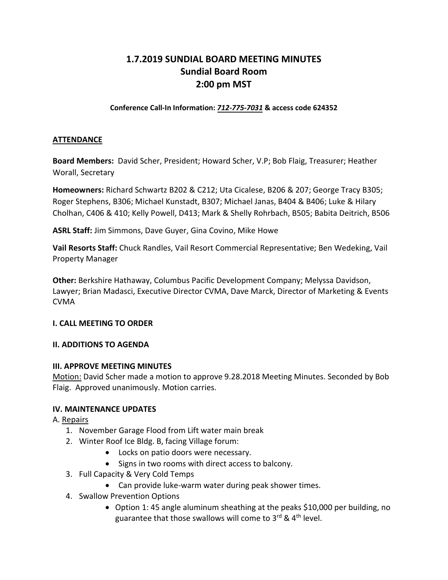# **1.7.2019 SUNDIAL BOARD MEETING MINUTES Sundial Board Room 2:00 pm MST**

**Conference Call-In Information:** *712-775-7031* **& access code 624352**

#### **ATTENDANCE**

**Board Members:** David Scher, President; Howard Scher, V.P; Bob Flaig, Treasurer; Heather Worall, Secretary

**Homeowners:** Richard Schwartz B202 & C212; Uta Cicalese, B206 & 207; George Tracy B305; Roger Stephens, B306; Michael Kunstadt, B307; Michael Janas, B404 & B406; Luke & Hilary Cholhan, C406 & 410; Kelly Powell, D413; Mark & Shelly Rohrbach, B505; Babita Deitrich, B506

**ASRL Staff:** Jim Simmons, Dave Guyer, Gina Covino, Mike Howe

**Vail Resorts Staff:** Chuck Randles, Vail Resort Commercial Representative; Ben Wedeking, Vail Property Manager

**Other:** Berkshire Hathaway, Columbus Pacific Development Company; Melyssa Davidson, Lawyer; Brian Madasci, Executive Director CVMA, Dave Marck, Director of Marketing & Events CVMA

#### **I. CALL MEETING TO ORDER**

#### **II. ADDITIONS TO AGENDA**

#### **III. APPROVE MEETING MINUTES**

Motion: David Scher made a motion to approve 9.28.2018 Meeting Minutes. Seconded by Bob Flaig. Approved unanimously. Motion carries.

### **IV. MAINTENANCE UPDATES**

A. Repairs

- 1. November Garage Flood from Lift water main break
- 2. Winter Roof Ice Bldg. B, facing Village forum:
	- Locks on patio doors were necessary.
	- Signs in two rooms with direct access to balcony.
- 3. Full Capacity & Very Cold Temps
	- Can provide luke-warm water during peak shower times.
- 4. Swallow Prevention Options
	- Option 1: 45 angle aluminum sheathing at the peaks \$10,000 per building, no guarantee that those swallows will come to  $3^{rd}$  &  $4^{th}$  level.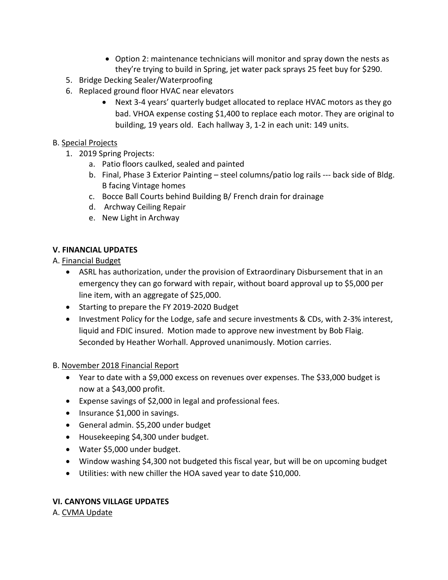- Option 2: maintenance technicians will monitor and spray down the nests as they're trying to build in Spring, jet water pack sprays 25 feet buy for \$290.
- 5. Bridge Decking Sealer/Waterproofing
- 6. Replaced ground floor HVAC near elevators
	- Next 3-4 years' quarterly budget allocated to replace HVAC motors as they go bad. VHOA expense costing \$1,400 to replace each motor. They are original to building, 19 years old. Each hallway 3, 1-2 in each unit: 149 units.

### B. Special Projects

- 1. 2019 Spring Projects:
	- a. Patio floors caulked, sealed and painted
	- b. Final, Phase 3 Exterior Painting steel columns/patio log rails --- back side of Bldg. B facing Vintage homes
	- c. Bocce Ball Courts behind Building B/ French drain for drainage
	- d. Archway Ceiling Repair
	- e. New Light in Archway

### **V. FINANCIAL UPDATES**

### A. Financial Budget

- ASRL has authorization, under the provision of Extraordinary Disbursement that in an emergency they can go forward with repair, without board approval up to \$5,000 per line item, with an aggregate of \$25,000.
- Starting to prepare the FY 2019-2020 Budget
- Investment Policy for the Lodge, safe and secure investments & CDs, with 2-3% interest, liquid and FDIC insured. Motion made to approve new investment by Bob Flaig. Seconded by Heather Worhall. Approved unanimously. Motion carries.

### B. November 2018 Financial Report

- Year to date with a \$9,000 excess on revenues over expenses. The \$33,000 budget is now at a \$43,000 profit.
- Expense savings of \$2,000 in legal and professional fees.
- Insurance \$1,000 in savings.
- General admin. \$5,200 under budget
- Housekeeping \$4,300 under budget.
- Water \$5,000 under budget.
- Window washing \$4,300 not budgeted this fiscal year, but will be on upcoming budget
- Utilities: with new chiller the HOA saved year to date \$10,000.

## **VI. CANYONS VILLAGE UPDATES**

A. CVMA Update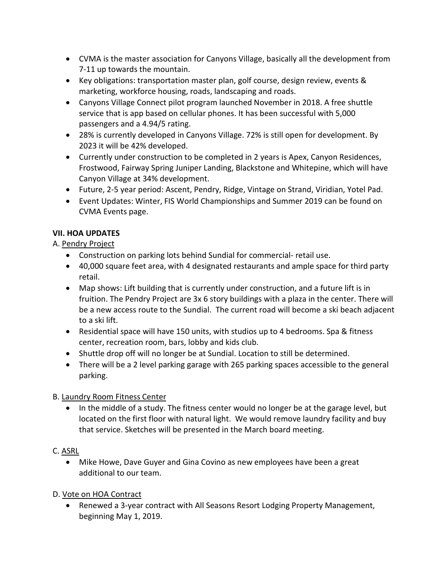- CVMA is the master association for Canyons Village, basically all the development from 7-11 up towards the mountain.
- Key obligations: transportation master plan, golf course, design review, events & marketing, workforce housing, roads, landscaping and roads.
- Canyons Village Connect pilot program launched November in 2018. A free shuttle service that is app based on cellular phones. It has been successful with 5,000 passengers and a 4.94/5 rating.
- 28% is currently developed in Canyons Village. 72% is still open for development. By 2023 it will be 42% developed.
- Currently under construction to be completed in 2 years is Apex, Canyon Residences, Frostwood, Fairway Spring Juniper Landing, Blackstone and Whitepine, which will have Canyon Village at 34% development.
- Future, 2-5 year period: Ascent, Pendry, Ridge, Vintage on Strand, Viridian, Yotel Pad.
- Event Updates: Winter, FIS World Championships and Summer 2019 can be found on CVMA Events page.

## **VII. HOA UPDATES**

A. Pendry Project

- Construction on parking lots behind Sundial for commercial- retail use.
- 40,000 square feet area, with 4 designated restaurants and ample space for third party retail.
- Map shows: Lift building that is currently under construction, and a future lift is in fruition. The Pendry Project are 3x 6 story buildings with a plaza in the center. There will be a new access route to the Sundial. The current road will become a ski beach adjacent to a ski lift.
- Residential space will have 150 units, with studios up to 4 bedrooms. Spa & fitness center, recreation room, bars, lobby and kids club.
- Shuttle drop off will no longer be at Sundial. Location to still be determined.
- There will be a 2 level parking garage with 265 parking spaces accessible to the general parking.

# B. Laundry Room Fitness Center

• In the middle of a study. The fitness center would no longer be at the garage level, but located on the first floor with natural light. We would remove laundry facility and buy that service. Sketches will be presented in the March board meeting.

# C. ASRL

• Mike Howe, Dave Guyer and Gina Covino as new employees have been a great additional to our team.

## D. Vote on HOA Contract

• Renewed a 3-year contract with All Seasons Resort Lodging Property Management, beginning May 1, 2019.